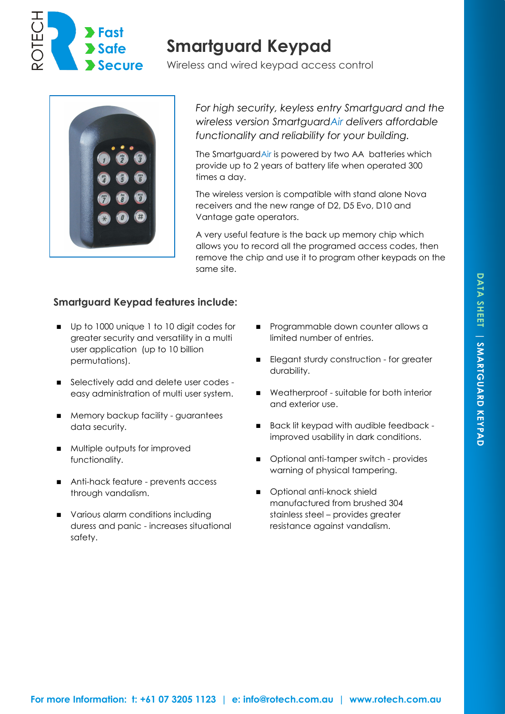

## **Smartguard Keypad**

Wireless and wired keypad access control



*For high security, keyless entry Smartguard and the wireless version SmartguardAir delivers affordable functionality and reliability for your building.*

The SmartguardAir is powered by two AA batteries which provide up to 2 years of battery life when operated 300 times a day.

The wireless version is compatible with stand alone Nova receivers and the new range of D2, D5 Evo, D10 and Vantage gate operators.

A very useful feature is the back up memory chip which allows you to record all the programed access codes, then remove the chip and use it to program other keypads on the same site.

## **Smartguard Keypad features include:**

- Up to 1000 unique 1 to 10 digit codes for greater security and versatility in a multi user application (up to 10 billion permutations).
- Selectively add and delete user codes easy administration of multi user system.
- **Memory backup facility guarantees** data security.
- **Multiple outputs for improved** functionality.
- Anti-hack feature prevents access through vandalism.
- **various alarm conditions including** duress and panic - increases situational safety.
- **Programmable down counter allows a** limited number of entries.
- Elegant sturdy construction for greater durability.
- Weatherproof suitable for both interior and exterior use.
- Back lit keypad with audible feedback improved usability in dark conditions.
- Optional anti-tamper switch provides warning of physical tampering.
- Optional anti-knock shield manufactured from brushed 304 stainless steel – provides greater resistance against vandalism.